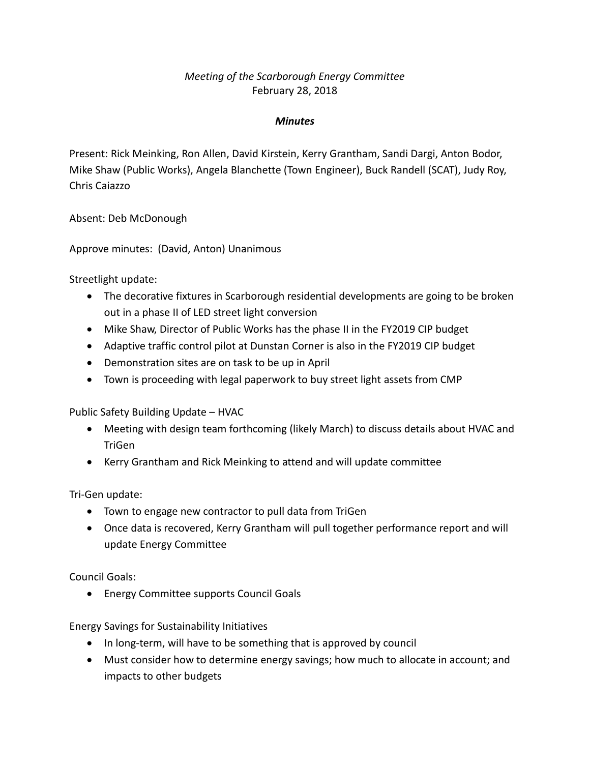## *Meeting of the Scarborough Energy Committee* February 28, 2018

## *Minutes*

Present: Rick Meinking, Ron Allen, David Kirstein, Kerry Grantham, Sandi Dargi, Anton Bodor, Mike Shaw (Public Works), Angela Blanchette (Town Engineer), Buck Randell (SCAT), Judy Roy, Chris Caiazzo

Absent: Deb McDonough

Approve minutes: (David, Anton) Unanimous

Streetlight update:

- The decorative fixtures in Scarborough residential developments are going to be broken out in a phase II of LED street light conversion
- Mike Shaw, Director of Public Works has the phase II in the FY2019 CIP budget
- Adaptive traffic control pilot at Dunstan Corner is also in the FY2019 CIP budget
- Demonstration sites are on task to be up in April
- Town is proceeding with legal paperwork to buy street light assets from CMP

Public Safety Building Update – HVAC

- Meeting with design team forthcoming (likely March) to discuss details about HVAC and TriGen
- Kerry Grantham and Rick Meinking to attend and will update committee

Tri-Gen update:

- Town to engage new contractor to pull data from TriGen
- Once data is recovered, Kerry Grantham will pull together performance report and will update Energy Committee

Council Goals:

• Energy Committee supports Council Goals

Energy Savings for Sustainability Initiatives

- In long-term, will have to be something that is approved by council
- Must consider how to determine energy savings; how much to allocate in account; and impacts to other budgets